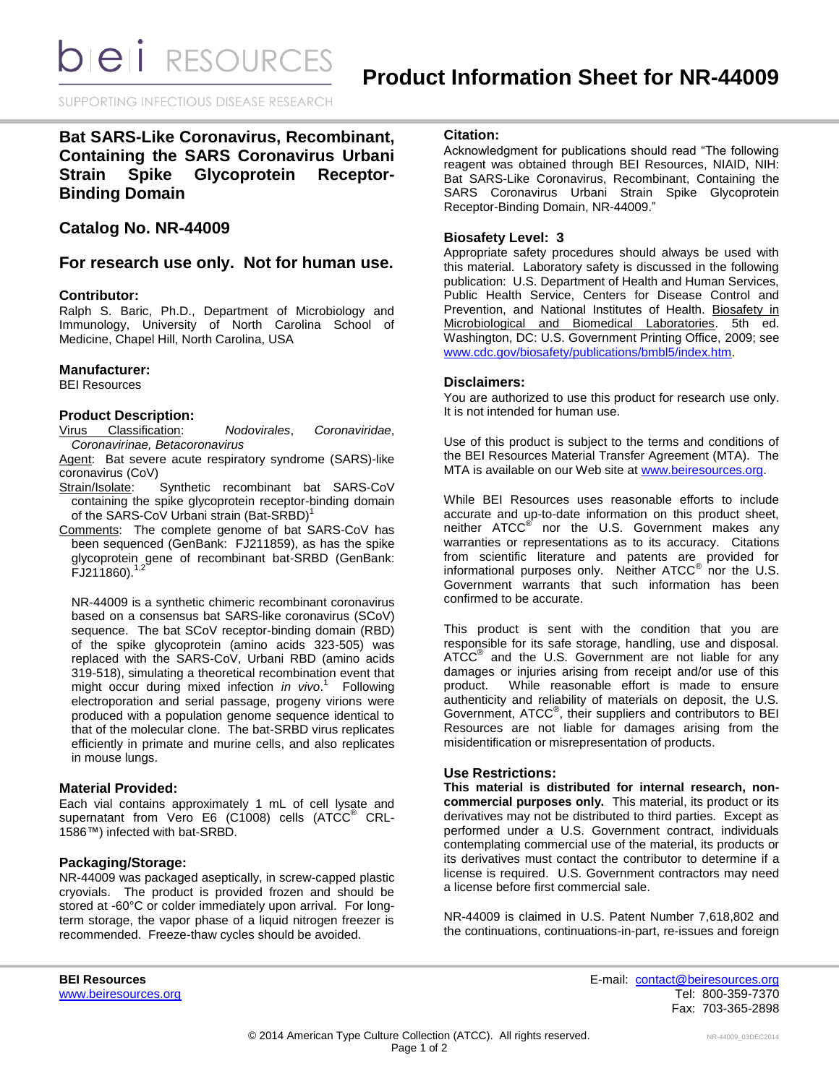**bieli** RESOURCES

SUPPORTING INFECTIOUS DISEASE RESEARCH

# **Bat SARS-Like Coronavirus, Recombinant, Containing the SARS Coronavirus Urbani Strain Spike Glycoprotein Receptor-Binding Domain**

## **Catalog No. NR-44009**

## **For research use only. Not for human use.**

## **Contributor:**

Ralph S. Baric, Ph.D., Department of Microbiology and Immunology, University of North Carolina School of Medicine, Chapel Hill, North Carolina, USA

#### **Manufacturer:**

BEI Resources

## **Product Description:**

Virus Classification: *Nodovirales*, *Coronaviridae*, *Coronavirinae, Betacoronavirus*

Agent: Bat severe acute respiratory syndrome (SARS)-like coronavirus (CoV)

- Strain/Isolate: Synthetic recombinant bat SARS-CoV containing the spike glycoprotein receptor-binding domain of the SARS-CoV Urbani strain (Bat-SRBD)<sup>1</sup>
- Comments: The complete genome of bat SARS-CoV has been sequenced (GenBank: FJ211859), as has the spike glycoprotein gene of recombinant bat-SRBD (GenBank:  $FJ211860$ ).<sup>1,2</sup>

NR-44009 is a synthetic chimeric recombinant coronavirus based on a consensus bat SARS-like coronavirus (SCoV) sequence. The bat SCoV receptor-binding domain (RBD) of the spike glycoprotein (amino acids 323-505) was replaced with the SARS-CoV, Urbani RBD (amino acids 319-518), simulating a theoretical recombination event that might occur during mixed infection *in vivo*. 1 Following electroporation and serial passage, progeny virions were produced with a population genome sequence identical to that of the molecular clone. The bat-SRBD virus replicates efficiently in primate and murine cells, and also replicates in mouse lungs.

#### **Material Provided:**

Each vial contains approximately 1 mL of cell lysate and supernatant from Vero E6 (C1008) cells (ATCC<sup>®</sup> CRL-1586™) infected with bat-SRBD.

## **Packaging/Storage:**

NR-44009 was packaged aseptically, in screw-capped plastic cryovials. The product is provided frozen and should be stored at -60°C or colder immediately upon arrival. For longterm storage, the vapor phase of a liquid nitrogen freezer is recommended. Freeze-thaw cycles should be avoided.

## **Citation:**

Acknowledgment for publications should read "The following reagent was obtained through BEI Resources, NIAID, NIH: Bat SARS-Like Coronavirus, Recombinant, Containing the SARS Coronavirus Urbani Strain Spike Glycoprotein Receptor-Binding Domain, NR-44009."

## **Biosafety Level: 3**

Appropriate safety procedures should always be used with this material. Laboratory safety is discussed in the following publication: U.S. Department of Health and Human Services, Public Health Service, Centers for Disease Control and Prevention, and National Institutes of Health. Biosafety in Microbiological and Biomedical Laboratories. 5th ed. Washington, DC: U.S. Government Printing Office, 2009; see [www.cdc.gov/biosafety/publications/bmbl5/index.htm.](http://www.cdc.gov/biosafety/publications/bmbl5/index.htm)

#### **Disclaimers:**

You are authorized to use this product for research use only. It is not intended for human use.

Use of this product is subject to the terms and conditions of the BEI Resources Material Transfer Agreement (MTA). The MTA is available on our Web site at [www.beiresources.org.](http://www.beiresources.org/)

While BEI Resources uses reasonable efforts to include accurate and up-to-date information on this product sheet, neither ATCC<sup>®</sup> nor the U.S. Government makes any warranties or representations as to its accuracy. Citations from scientific literature and patents are provided for informational purposes only. Neither  $\tt{ATCC}^{\circledR}$  nor the U.S. Government warrants that such information has been confirmed to be accurate.

This product is sent with the condition that you are responsible for its safe storage, handling, use and disposal. ATCC<sup>®</sup> and the U.S. Government are not liable for any damages or injuries arising from receipt and/or use of this product. While reasonable effort is made to ensure authenticity and reliability of materials on deposit, the U.S. Government, ATCC® , their suppliers and contributors to BEI Resources are not liable for damages arising from the misidentification or misrepresentation of products.

#### **Use Restrictions:**

**This material is distributed for internal research, noncommercial purposes only.** This material, its product or its derivatives may not be distributed to third parties. Except as performed under a U.S. Government contract, individuals contemplating commercial use of the material, its products or its derivatives must contact the contributor to determine if a license is required. U.S. Government contractors may need a license before first commercial sale.

NR-44009 is claimed in U.S. Patent Number 7,618,802 and the continuations, continuations-in-part, re-issues and foreign

**BEI Resources** E-mail: [contact@beiresources.org](mailto:contact@beiresources.org) [www.beiresources.org](http://www.beiresources.org/) **Tel: 800-359-7370** Fax: 703-365-2898